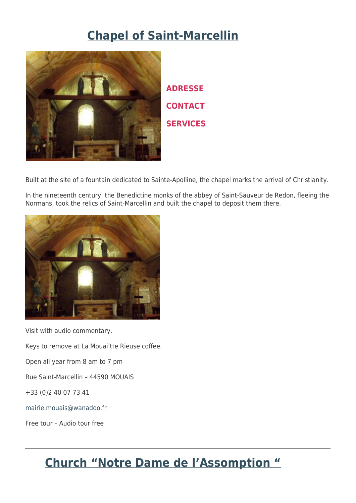## **[Chapel of Saint-Marcellin](http://www.tourisme-chateaubriant.fr/en/discover-the-region/religious-heritage/chapel-of-saint-marcellin/)**



**ADRESSE CONTACT SERVICES**

Built at the site of a fountain dedicated to Sainte-Apolline, the chapel marks the arrival of Christianity.

In the nineteenth century, the Benedictine monks of the abbey of Saint-Sauveur de Redon, fleeing the Normans, took the relics of Saint-Marcellin and built the chapel to deposit them there.



Visit with audio commentary.

Keys to remove at La Mouai'tte Rieuse coffee.

Open all year from 8 am to 7 pm

Rue Saint-Marcellin – 44590 MOUAIS

+33 (0)2 40 07 73 41

[mairie.mouais@wanadoo.fr](mailto:mairie.mouais@wanadoo.fr) 

Free tour – Audio tour free

# **[Church "Notre Dame de l'Assomption "](http://www.tourisme-chateaubriant.fr/en/discover-the-region/religious-heritage/church-notre-dame-lassomption/)**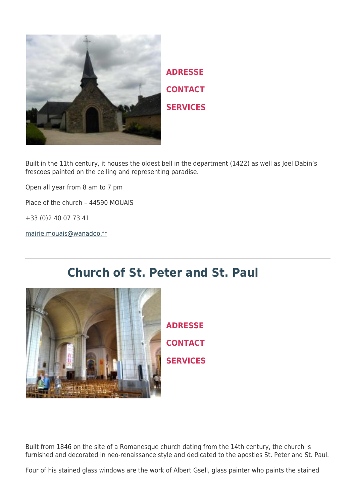

**ADRESSE CONTACT SERVICES**

Built in the 11th century, it houses the oldest bell in the department (1422) as well as Joël Dabin's frescoes painted on the ceiling and representing paradise.

Open all year from 8 am to 7 pm

Place of the church – 44590 MOUAIS

+33 (0)2 40 07 73 41

[mairie.mouais@wanadoo.fr](mailto:mairie.mouais@wanadoo.fr)

# **[Church of St. Peter and St. Paul](http://www.tourisme-chateaubriant.fr/en/discover-the-region/religious-heritage/church-of-st-peter-and-st-paul/)**



**ADRESSE CONTACT SERVICES**

Built from 1846 on the site of a Romanesque church dating from the 14th century, the church is furnished and decorated in neo-renaissance style and dedicated to the apostles St. Peter and St. Paul.

Four of his stained glass windows are the work of Albert Gsell, glass painter who paints the stained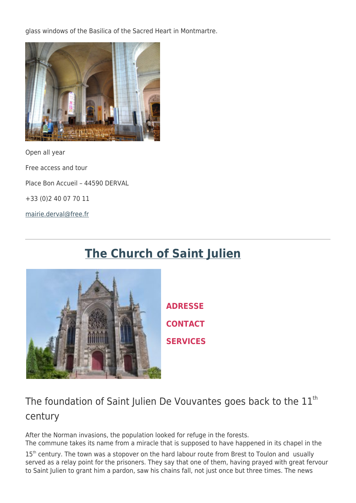glass windows of the Basilica of the Sacred Heart in Montmartre.



Open all year Free access and tour Place Bon Accueil – 44590 DERVAL +33 (0)2 40 07 70 11 [mairie.derval@free.fr](mailto:mairie.derval@free.fr)

# **[The Church of Saint Julien](http://www.tourisme-chateaubriant.fr/en/discover-the-region/religious-heritage/the-church-of-saint-julien-leglise-saint-julien-st-julien-de-vouvantes/)**



**ADRESSE CONTACT SERVICES**

### The foundation of Saint Julien De Vouvantes goes back to the  $11<sup>th</sup>$ century

After the Norman invasions, the population looked for refuge in the forests. The commune takes its name from a miracle that is supposed to have happened in its chapel in the

15<sup>th</sup> century. The town was a stopover on the hard labour route from Brest to Toulon and usually served as a relay point for the prisoners. They say that one of them, having prayed with great fervour to Saint Julien to grant him a pardon, saw his chains fall, not just once but three times. The news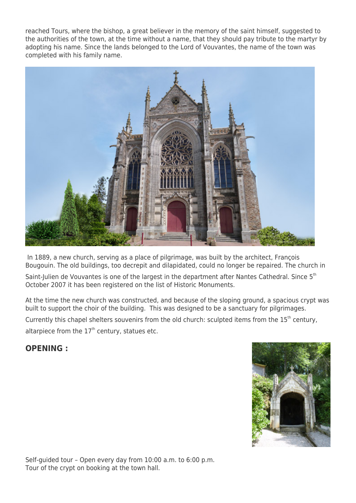reached Tours, where the bishop, a great believer in the memory of the saint himself, suggested to the authorities of the town, at the time without a name, that they should pay tribute to the martyr by adopting his name. Since the lands belonged to the Lord of Vouvantes, the name of the town was completed with his family name.



 In 1889, a new church, serving as a place of pilgrimage, was built by the architect, François Bougouin. The old buildings, too decrepit and dilapidated, could no longer be repaired. The church in

Saint-Julien de Vouvantes is one of the largest in the department after Nantes Cathedral. Since 5<sup>th</sup> October 2007 it has been registered on the list of Historic Monuments.

At the time the new church was constructed, and because of the sloping ground, a spacious crypt was built to support the choir of the building. This was designed to be a sanctuary for pilgrimages.

Currently this chapel shelters souvenirs from the old church: sculpted items from the 15<sup>th</sup> century, altarpiece from the  $17<sup>th</sup>$  century, statues etc.

**OPENING :**



Self-guided tour – Open every day from 10:00 a.m. to 6:00 p.m. Tour of the crypt on booking at the town hall.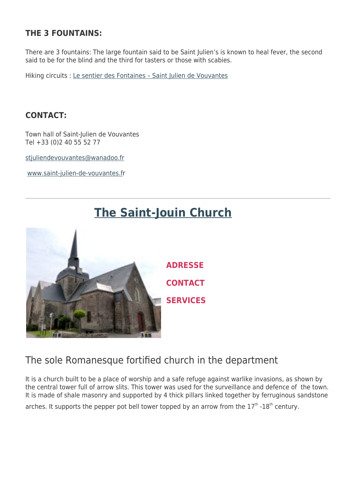### **THE 3 FOUNTAINS:**

There are 3 fountains: The large fountain said to be Saint Julien's is known to heal fever, the second said to be for the blind and the third for tasters or those with scabies.

Hiking circuits : [Le sentier des Fontaines – Saint Julien de Vouvantes](http://www.tourisme-chateaubriant.fr/wp-content/uploads/2013/01/2017-Fiche19-StJulien.pdf)

### **CONTACT:**

Town hall of Saint-Julien de Vouvantes Tel +33 (0)2 40 55 52 77

stiuliendevouvantes@wanadoo.fr

[www.saint-julien-de-vouvantes.f](http://www.saint-julien-de-vouvantes.fr/)r



## **[The Saint-Jouin Church](http://www.tourisme-chateaubriant.fr/en/discover-the-region/religious-heritage/the-saint-jouin-church-leglise-st-jouin-moisdon-la-riviere/)**

### The sole Romanesque fortified church in the department

It is a church built to be a place of worship and a safe refuge against warlike invasions, as shown by the central tower full of arrow slits. This tower was used for the surveillance and defence of the town. It is made of shale masonry and supported by 4 thick pillars linked together by ferruginous sandstone arches. It supports the pepper pot bell tower topped by an arrow from the  $17<sup>th</sup>$  -18<sup>th</sup> century.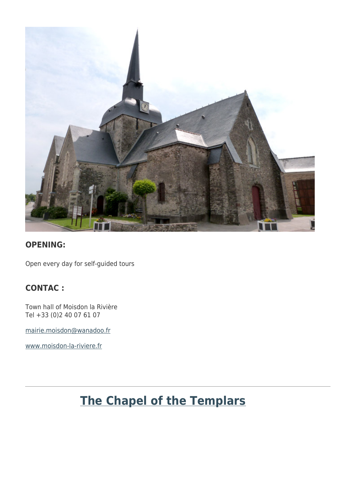

#### **OPENING:**

Open every day for self-guided tours

### **CONTAC :**

Town hall of Moisdon la Rivière Tel +33 (0)2 40 07 61 07

[mairie.moisdon@wanadoo.fr](mailto:mairie.moisdon@wanadoo.fr)

[www.moisdon-la-riviere.fr](http://www.moisdon-la-riviere.fr/)

# **[The Chapel of the Templars](http://www.tourisme-chateaubriant.fr/en/discover-the-region/religious-heritage/the-chapel-of-the-templars-la-chapelle-des-templiers-st-aubin-des-chateaux/)**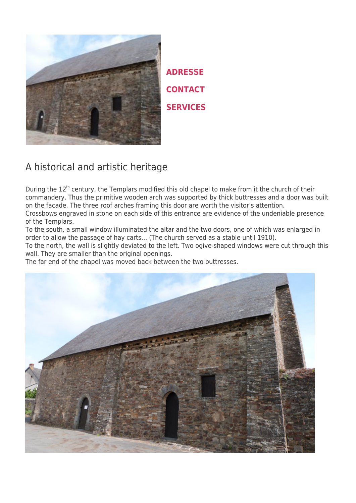

**ADRESSE CONTACT SERVICES**

### A historical and artistic heritage

During the  $12<sup>th</sup>$  century, the Templars modified this old chapel to make from it the church of their commandery. Thus the primitive wooden arch was supported by thick buttresses and a door was built on the facade. The three roof arches framing this door are worth the visitor's attention. Crossbows engraved in stone on each side of this entrance are evidence of the undeniable presence of the Templars.

To the south, a small window illuminated the altar and the two doors, one of which was enlarged in order to allow the passage of hay carts… (The church served as a stable until 1910).

To the north, the wall is slightly deviated to the left. Two ogive-shaped windows were cut through this wall. They are smaller than the original openings.

The far end of the chapel was moved back between the two buttresses.

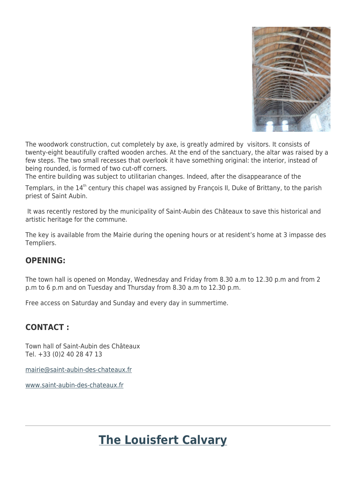

The woodwork construction, cut completely by axe, is greatly admired by visitors. It consists of twenty-eight beautifully crafted wooden arches. At the end of the sanctuary, the altar was raised by a few steps. The two small recesses that overlook it have something original: the interior, instead of being rounded, is formed of two cut-off corners.

The entire building was subject to utilitarian changes. Indeed, after the disappearance of the

Templars, in the  $14<sup>th</sup>$  century this chapel was assigned by François II, Duke of Brittany, to the parish priest of Saint Aubin.

 It was recently restored by the municipality of Saint-Aubin des Châteaux to save this historical and artistic heritage for the commune.

The key is available from the Mairie during the opening hours or at resident's home at 3 impasse des Templiers.

#### **OPENING:**

The town hall is opened on Monday, Wednesday and Friday from 8.30 a.m to 12.30 p.m and from 2 p.m to 6 p.m and on Tuesday and Thursday from 8.30 a.m to 12.30 p.m.

Free access on Saturday and Sunday and every day in summertime.

#### **CONTACT :**

Town hall of Saint-Aubin des Châteaux Tel. +33 (0)2 40 28 47 13

[mairie@saint-aubin-des-chateaux.fr](mailto:mairie@saint-aubin-des-chateaux.fr)

[www.saint-aubin-des-chateaux.fr](http://www.saint-aubin-des-chateaux.fr/)

## **[The Louisfert Calvary](http://www.tourisme-chateaubriant.fr/en/discover-the-region/religious-heritage/le-calvaire-louisfert/)**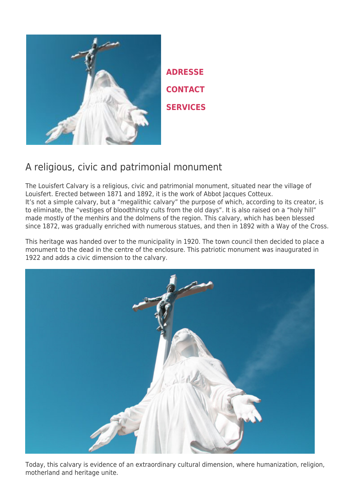

**ADRESSE CONTACT SERVICES**

### A religious, civic and patrimonial monument

The Louisfert Calvary is a religious, civic and patrimonial monument, situated near the village of Louisfert. Erected between 1871 and 1892, it is the work of Abbot Jacques Cotteux. It's not a simple calvary, but a "megalithic calvary" the purpose of which, according to its creator, is to eliminate, the "vestiges of bloodthirsty cults from the old days". It is also raised on a "holy hill" made mostly of the menhirs and the dolmens of the region. This calvary, which has been blessed since 1872, was gradually enriched with numerous statues, and then in 1892 with a Way of the Cross.

This heritage was handed over to the municipality in 1920. The town council then decided to place a monument to the dead in the centre of the enclosure. This patriotic monument was inaugurated in 1922 and adds a civic dimension to the calvary.



Today, this calvary is evidence of an extraordinary cultural dimension, where humanization, religion, motherland and heritage unite.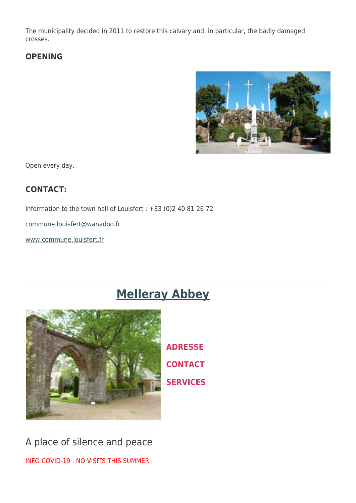The municipality decided in 2011 to restore this calvary and, in particular, the badly damaged crosses.

### **OPENING**



Open every day.

### **CONTACT:**

Information to the town hall of Louisfert : +33 (0)2 40 81 26 72

[commune.louisfert@wanadoo.fr](mailto:commune.louisfert@wanadoo.fr)

[www.commune.louisfert.fr](http://www.commune.louisfert.fr/)

## **[Melleray Abbey](http://www.tourisme-chateaubriant.fr/en/discover-the-region/religious-heritage/melleray-abbey-labbaye-de-melleray-la-meilleraye-de-bretagne/)**



**ADRESSE CONTACT SERVICES**

A place of silence and peace INFO COVID-19 : NO VISITS THIS SUMMER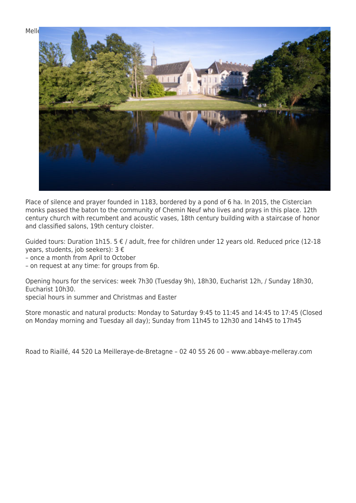

Place of silence and prayer founded in 1183, bordered by a pond of 6 ha. In 2015, the Cistercian monks passed the baton to the community of Chemin Neuf who lives and prays in this place. 12th century church with recumbent and acoustic vases, 18th century building with a staircase of honor and classified salons, 19th century cloister.

Guided tours: Duration 1h15. 5 € / adult, free for children under 12 years old. Reduced price (12-18 years, students, job seekers): 3 €

– once a month from April to October

– on request at any time: for groups from 6p.

Opening hours for the services: week 7h30 (Tuesday 9h), 18h30, Eucharist 12h, / Sunday 18h30, Eucharist 10h30.

special hours in summer and Christmas and Easter

Store monastic and natural products: Monday to Saturday 9:45 to 11:45 and 14:45 to 17:45 (Closed on Monday morning and Tuesday all day); Sunday from 11h45 to 12h30 and 14h45 to 17h45

Road to Riaillé, 44 520 La Meilleraye-de-Bretagne – 02 40 55 26 00 – www.abbaye-melleray.com